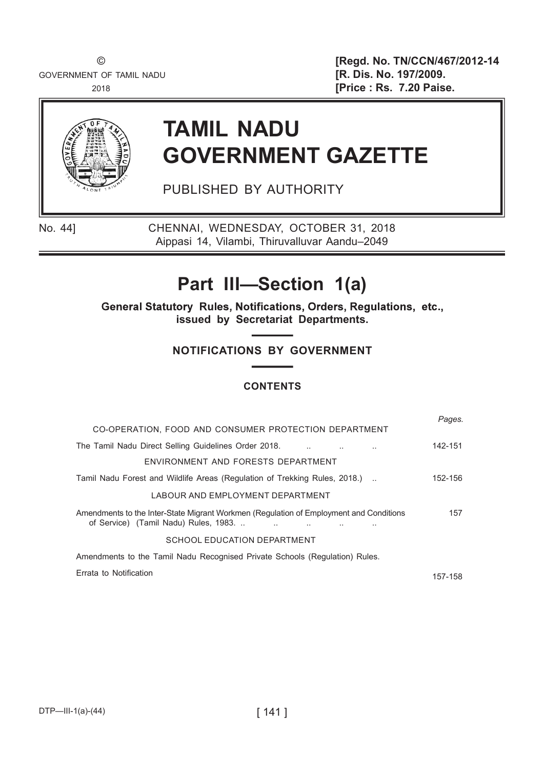GOVERNMENT OF TAMIL NADU **EXECUTE: [R. Dis. No. 197/2009.** 

© [Regd. No. TN/CCN/467/2012-14 2018 [Price : Rs. 7.20 Paise.



# TAMIL NADU GOVERNMENT GAZETTE

PUBLISHED BY AUTHORITY

No. 44] CHENNAI, WEDNESDAY, OCTOBER 31, 2018 Aippasi 14, Vilambi, Thiruvalluvar Aandu–2049

## Part III—Section 1(a)

General Statutory Rules, Notifications, Orders, Regulations, etc., issued by Secretariat Departments.

## NOTIFICATIONS BY GOVERNMENT

## **CONTENTS**

| CO-OPERATION, FOOD AND CONSUMER PROTECTION DEPARTMENT                                                                          | Pages.  |
|--------------------------------------------------------------------------------------------------------------------------------|---------|
|                                                                                                                                |         |
| The Tamil Nadu Direct Selling Guidelines Order 2018.                                                                           | 142-151 |
| ENVIRONMENT AND FORESTS DEPARTMENT                                                                                             |         |
| Tamil Nadu Forest and Wildlife Areas (Regulation of Trekking Rules, 2018.)                                                     | 152-156 |
| LABOUR AND FMPLOYMENT DEPARTMENT                                                                                               |         |
| Amendments to the Inter-State Migrant Workmen (Regulation of Employment and Conditions<br>of Service) (Tamil Nadu) Rules, 1983 | 157     |
| SCHOOL EDUCATION DEPARTMENT                                                                                                    |         |
| Amendments to the Tamil Nadu Recognised Private Schools (Regulation) Rules.                                                    |         |
| Errata to Notification                                                                                                         | 157-158 |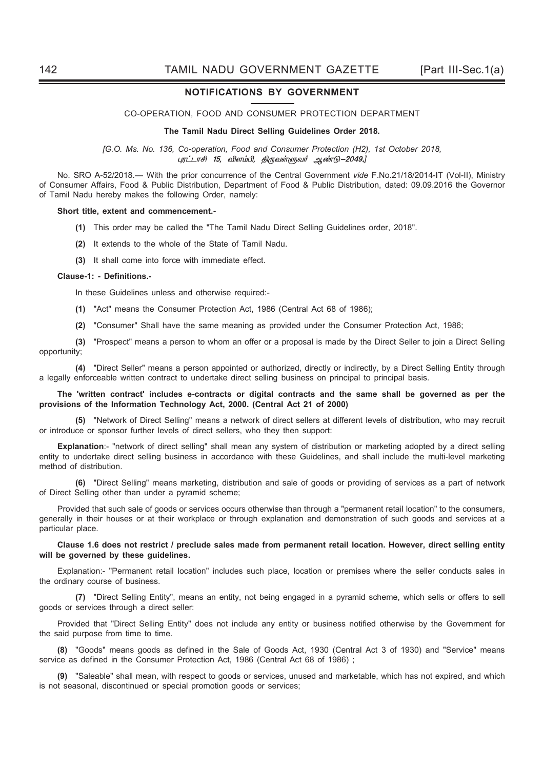#### NOTIFICATIONS BY GOVERNMENT

#### CO-OPERATION, FOOD AND CONSUMER PROTECTION DEPARTMENT

#### The Tamil Nadu Direct Selling Guidelines Order 2018.

[G.O. Ms. No. 136, Co-operation, Food and Consumer Protection (H2), 1st October 2018, புரட்டாசி 15, விளம்பி, திருவள்ளுவர் ஆண்டு–2049.]

No. SRO A-52/2018.— With the prior concurrence of the Central Government vide F.No.21/18/2014-IT (Vol-II), Ministry of Consumer Affairs, Food & Public Distribution, Department of Food & Public Distribution, dated: 09.09.2016 the Governor of Tamil Nadu hereby makes the following Order, namely:

#### Short title, extent and commencement.-

- (1) This order may be called the "The Tamil Nadu Direct Selling Guidelines order, 2018".
- (2) It extends to the whole of the State of Tamil Nadu.
- (3) It shall come into force with immediate effect.

#### Clause-1: - Definitions.-

In these Guidelines unless and otherwise required:-

- (1) "Act" means the Consumer Protection Act, 1986 (Central Act 68 of 1986);
- (2) "Consumer" Shall have the same meaning as provided under the Consumer Protection Act, 1986;

(3) "Prospect" means a person to whom an offer or a proposal is made by the Direct Seller to join a Direct Selling opportunity;

(4) "Direct Seller" means a person appointed or authorized, directly or indirectly, by a Direct Selling Entity through a legally enforceable written contract to undertake direct selling business on principal to principal basis.

#### The 'written contract' includes e-contracts or digital contracts and the same shall be governed as per the provisions of the Information Technology Act, 2000. (Central Act 21 of 2000)

(5) "Network of Direct Selling" means a network of direct sellers at different levels of distribution, who may recruit or introduce or sponsor further levels of direct sellers, who they then support:

Explanation:- "network of direct selling" shall mean any system of distribution or marketing adopted by a direct selling entity to undertake direct selling business in accordance with these Guidelines, and shall include the multi-level marketing method of distribution.

(6) "Direct Selling" means marketing, distribution and sale of goods or providing of services as a part of network of Direct Selling other than under a pyramid scheme;

Provided that such sale of goods or services occurs otherwise than through a "permanent retail location" to the consumers, generally in their houses or at their workplace or through explanation and demonstration of such goods and services at a particular place.

#### Clause 1.6 does not restrict / preclude sales made from permanent retail location. However, direct selling entity will be governed by these guidelines.

Explanation:- "Permanent retail location" includes such place, location or premises where the seller conducts sales in the ordinary course of business.

(7) "Direct Selling Entity", means an entity, not being engaged in a pyramid scheme, which sells or offers to sell goods or services through a direct seller:

Provided that "Direct Selling Entity" does not include any entity or business notified otherwise by the Government for the said purpose from time to time.

(8) "Goods" means goods as defined in the Sale of Goods Act, 1930 (Central Act 3 of 1930) and "Service" means service as defined in the Consumer Protection Act, 1986 (Central Act 68 of 1986) ;

(9) "Saleable" shall mean, with respect to goods or services, unused and marketable, which has not expired, and which is not seasonal, discontinued or special promotion goods or services;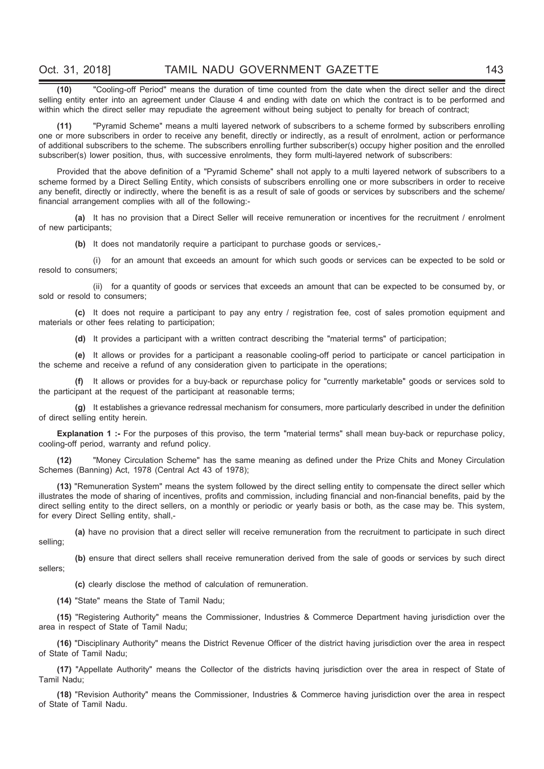(10) "Cooling-off Period" means the duration of time counted from the date when the direct seller and the direct selling entity enter into an agreement under Clause 4 and ending with date on which the contract is to be performed and within which the direct seller may repudiate the agreement without being subject to penalty for breach of contract;

(11) "Pyramid Scheme" means a multi layered network of subscribers to a scheme formed by subscribers enrolling one or more subscribers in order to receive any benefit, directly or indirectly, as a result of enrolment, action or performance of additional subscribers to the scheme. The subscribers enrolling further subscriber(s) occupy higher position and the enrolled subscriber(s) lower position, thus, with successive enrolments, they form multi-layered network of subscribers:

Provided that the above definition of a "Pyramid Scheme" shall not apply to a multi layered network of subscribers to a scheme formed by a Direct Selling Entity, which consists of subscribers enrolling one or more subscribers in order to receive any benefit, directly or indirectly, where the benefit is as a result of sale of goods or services by subscribers and the scheme/ financial arrangement complies with all of the following:-

(a) It has no provision that a Direct Seller will receive remuneration or incentives for the recruitment / enrolment of new participants;

(b) It does not mandatorily require a participant to purchase goods or services,-

 (i) for an amount that exceeds an amount for which such goods or services can be expected to be sold or resold to consumers;

 (ii) for a quantity of goods or services that exceeds an amount that can be expected to be consumed by, or sold or resold to consumers;

(c) It does not require a participant to pay any entry / registration fee, cost of sales promotion equipment and materials or other fees relating to participation;

(d) It provides a participant with a written contract describing the "material terms" of participation;

(e) It allows or provides for a participant a reasonable cooling-off period to participate or cancel participation in the scheme and receive a refund of any consideration given to participate in the operations;

(f) It allows or provides for a buy-back or repurchase policy for "currently marketable" goods or services sold to the participant at the request of the participant at reasonable terms;

(g) It establishes a grievance redressal mechanism for consumers, more particularly described in under the definition of direct selling entity herein.

Explanation 1 :- For the purposes of this proviso, the term "material terms" shall mean buy-back or repurchase policy, cooling-off period, warranty and refund policy.

(12) "Money Circulation Scheme" has the same meaning as defined under the Prize Chits and Money Circulation Schemes (Banning) Act, 1978 (Central Act 43 of 1978);

(13) "Remuneration System" means the system followed by the direct selling entity to compensate the direct seller which illustrates the mode of sharing of incentives, profits and commission, including financial and non-financial benefits, paid by the direct selling entity to the direct sellers, on a monthly or periodic or yearly basis or both, as the case may be. This system, for every Direct Selling entity, shall,-

(a) have no provision that a direct seller will receive remuneration from the recruitment to participate in such direct selling;

(b) ensure that direct sellers shall receive remuneration derived from the sale of goods or services by such direct sellers;

(c) clearly disclose the method of calculation of remuneration.

(14) "State" means the State of Tamil Nadu;

(15) "Registering Authority" means the Commissioner, Industries & Commerce Department having jurisdiction over the area in respect of State of Tamil Nadu;

(16) "Disciplinary Authority" means the District Revenue Officer of the district having jurisdiction over the area in respect of State of Tamil Nadu;

(17) "Appellate Authority" means the Collector of the districts havinq jurisdiction over the area in respect of State of Tamil Nadu;

(18) "Revision Authority" means the Commissioner, Industries & Commerce having jurisdiction over the area in respect of State of Tamil Nadu.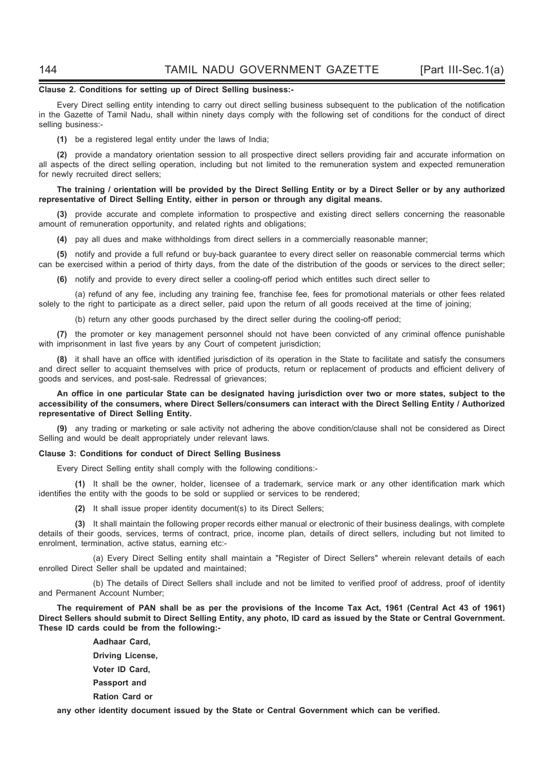#### Clause 2. Conditions for setting up of Direct Selling business:-

Every Direct selling entity intending to carry out direct selling business subsequent to the publication of the notification in the Gazette of Tamil Nadu, shall within ninety days comply with the following set of conditions for the conduct of direct selling business:-

(1) be a registered legal entity under the laws of India;

(2) provide a mandatory orientation session to all prospective direct sellers providing fair and accurate information on all aspects of the direct selling operation, including but not limited to the remuneration system and expected remuneration for newly recruited direct sellers;

#### The training / orientation will be provided by the Direct Selling Entity or by a Direct Seller or by any authorized representative of Direct Selling Entity, either in person or through any digital means.

(3) provide accurate and complete information to prospective and existing direct sellers concerning the reasonable amount of remuneration opportunity, and related rights and obligations;

(4) pay all dues and make withholdings from direct sellers in a commercially reasonable manner;

(5) notify and provide a full refund or buy-back guarantee to every direct seller on reasonable commercial terms which can be exercised within a period of thirty days, from the date of the distribution of the goods or services to the direct seller;

(6) notify and provide to every direct seller a cooling-off period which entitles such direct seller to

 (a) refund of any fee, including any training fee, franchise fee, fees for promotional materials or other fees related solely to the right to participate as a direct seller, paid upon the return of all goods received at the time of joining;

(b) return any other goods purchased by the direct seller during the cooling-off period;

(7) the promoter or key management personnel should not have been convicted of any criminal offence punishable with imprisonment in last five years by any Court of competent jurisdiction;

(8) it shall have an office with identified jurisdiction of its operation in the State to facilitate and satisfy the consumers and direct seller to acquaint themselves with price of products, return or replacement of products and efficient delivery of goods and services, and post-sale. Redressal of grievances;

An office in one particular State can be designated having jurisdiction over two or more states, subject to the accessibility of the consumers, where Direct Sellers/consumers can interact with the Direct Selling Entity / Authorized representative of Direct Selling Entity.

(9) any trading or marketing or sale activity not adhering the above condition/clause shall not be considered as Direct Selling and would be dealt appropriately under relevant laws.

#### Clause 3: Conditions for conduct of Direct Selling Business

Every Direct Selling entity shall comply with the following conditions:-

(1) It shall be the owner, holder, licensee of a trademark, service mark or any other identification mark which identifies the entity with the goods to be sold or supplied or services to be rendered;

(2) It shall issue proper identity document(s) to its Direct Sellers;

(3) It shall maintain the following proper records either manual or electronic of their business dealings, with complete details of their goods, services, terms of contract, price, income plan, details of direct sellers, including but not limited to enrolment, termination, active status, earning etc:-

 (a) Every Direct Selling entity shall maintain a "Register of Direct Sellers" wherein relevant details of each enrolled Direct Seller shall be updated and maintained;

 (b) The details of Direct Sellers shall include and not be limited to verified proof of address, proof of identity and Permanent Account Number;

The requirement of PAN shall be as per the provisions of the Income Tax Act, 1961 (Central Act 43 of 1961) Direct Sellers should submit to Direct Selling Entity, any photo, ID card as issued by the State or Central Government. These ID cards could be from the following:-

> Aadhaar Card, Driving License, Voter ID Card, Passport and Ration Card or

any other identity document issued by the State or Central Government which can be verified.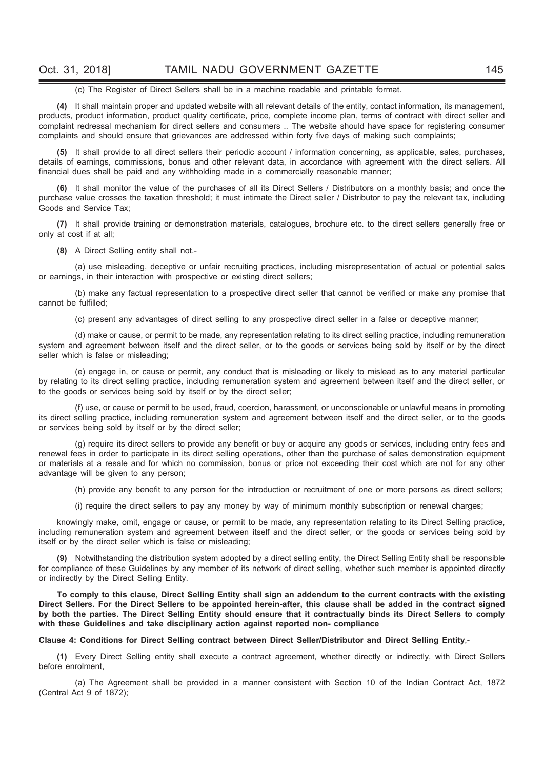#### (c) The Register of Direct Sellers shall be in a machine readable and printable format.

(4) It shall maintain proper and updated website with all relevant details of the entity, contact information, its management, products, product information, product quality certificate, price, complete income plan, terms of contract with direct seller and complaint redressal mechanism for direct sellers and consumers .. The website should have space for registering consumer complaints and should ensure that grievances are addressed within forty five days of making such complaints;

(5) It shall provide to all direct sellers their periodic account / information concerning, as applicable, sales, purchases, details of earnings, commissions, bonus and other relevant data, in accordance with agreement with the direct sellers. All financial dues shall be paid and any withholding made in a commercially reasonable manner;

(6) It shall monitor the value of the purchases of all its Direct Sellers / Distributors on a monthly basis; and once the purchase value crosses the taxation threshold; it must intimate the Direct seller / Distributor to pay the relevant tax, including Goods and Service Tax;

(7) It shall provide training or demonstration materials, catalogues, brochure etc. to the direct sellers generally free or only at cost if at all;

(8) A Direct Selling entity shall not.-

 (a) use misleading, deceptive or unfair recruiting practices, including misrepresentation of actual or potential sales or earnings, in their interaction with prospective or existing direct sellers;

 (b) make any factual representation to a prospective direct seller that cannot be verified or make any promise that cannot be fulfilled;

(c) present any advantages of direct selling to any prospective direct seller in a false or deceptive manner;

 (d) make or cause, or permit to be made, any representation relating to its direct selling practice, including remuneration system and agreement between itself and the direct seller, or to the goods or services being sold by itself or by the direct seller which is false or misleading;

 (e) engage in, or cause or permit, any conduct that is misleading or likely to mislead as to any material particular by relating to its direct selling practice, including remuneration system and agreement between itself and the direct seller, or to the goods or services being sold by itself or by the direct seller;

 (f) use, or cause or permit to be used, fraud, coercion, harassment, or unconscionable or unlawful means in promoting its direct selling practice, including remuneration system and agreement between itself and the direct seller, or to the goods or services being sold by itself or by the direct seller;

 (g) require its direct sellers to provide any benefit or buy or acquire any goods or services, including entry fees and renewal fees in order to participate in its direct selling operations, other than the purchase of sales demonstration equipment or materials at a resale and for which no commission, bonus or price not exceeding their cost which are not for any other advantage will be given to any person;

(h) provide any benefit to any person for the introduction or recruitment of one or more persons as direct sellers;

(i) require the direct sellers to pay any money by way of minimum monthly subscription or renewal charges;

knowingly make, omit, engage or cause, or permit to be made, any representation relating to its Direct Selling practice, including remuneration system and agreement between itself and the direct seller, or the goods or services being sold by itself or by the direct seller which is false or misleading;

(9) Notwithstanding the distribution system adopted by a direct selling entity, the Direct Selling Entity shall be responsible for compliance of these Guidelines by any member of its network of direct selling, whether such member is appointed directly or indirectly by the Direct Selling Entity.

To comply to this clause, Direct Selling Entity shall sign an addendum to the current contracts with the existing Direct Sellers. For the Direct Sellers to be appointed herein-after, this clause shall be added in the contract signed by both the parties. The Direct Selling Entity should ensure that it contractually binds its Direct Sellers to comply with these Guidelines and take disciplinary action against reported non- compliance

#### Clause 4: Conditions for Direct Selling contract between Direct Seller/Distributor and Direct Selling Entity,-

(1) Every Direct Selling entity shall execute a contract agreement, whether directly or indirectly, with Direct Sellers before enrolment,

 (a) The Agreement shall be provided in a manner consistent with Section 10 of the Indian Contract Act, 1872 (Central Act 9 of 1872);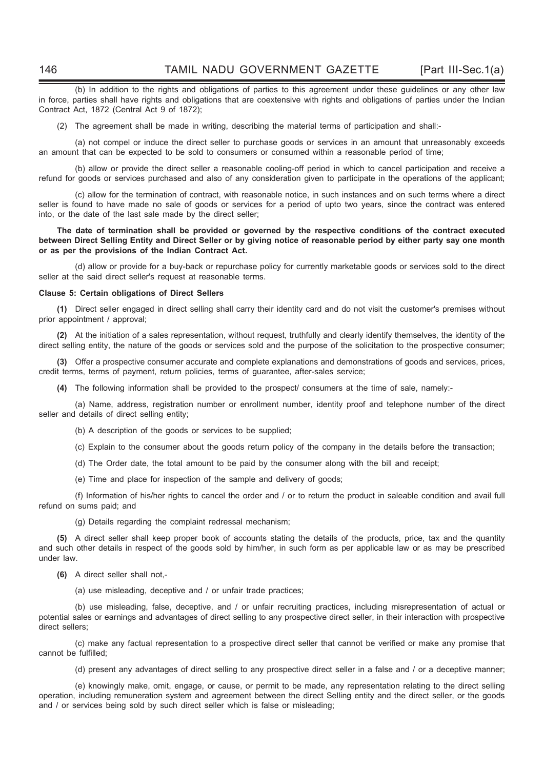(b) In addition to the rights and obligations of parties to this agreement under these guidelines or any other law in force, parties shall have rights and obligations that are coextensive with rights and obligations of parties under the Indian Contract Act, 1872 (Central Act 9 of 1872);

(2) The agreement shall be made in writing, describing the material terms of participation and shall:-

 (a) not compel or induce the direct seller to purchase goods or services in an amount that unreasonably exceeds an amount that can be expected to be sold to consumers or consumed within a reasonable period of time;

 (b) allow or provide the direct seller a reasonable cooling-off period in which to cancel participation and receive a refund for goods or services purchased and also of any consideration given to participate in the operations of the applicant;

 (c) allow for the termination of contract, with reasonable notice, in such instances and on such terms where a direct seller is found to have made no sale of goods or services for a period of upto two years, since the contract was entered into, or the date of the last sale made by the direct seller;

#### The date of termination shall be provided or governed by the respective conditions of the contract executed between Direct Selling Entity and Direct Seller or by giving notice of reasonable period by either party say one month or as per the provisions of the Indian Contract Act.

 (d) allow or provide for a buy-back or repurchase policy for currently marketable goods or services sold to the direct seller at the said direct seller's request at reasonable terms.

#### Clause 5: Certain obligations of Direct Sellers

(1) Direct seller engaged in direct selling shall carry their identity card and do not visit the customer's premises without prior appointment / approval;

(2) At the initiation of a sales representation, without request, truthfully and clearly identify themselves, the identity of the direct selling entity, the nature of the goods or services sold and the purpose of the solicitation to the prospective consumer;

(3) Offer a prospective consumer accurate and complete explanations and demonstrations of goods and services, prices, credit terms, terms of payment, return policies, terms of guarantee, after-sales service;

(4) The following information shall be provided to the prospect/ consumers at the time of sale, namely:-

 (a) Name, address, registration number or enrollment number, identity proof and telephone number of the direct seller and details of direct selling entity;

(b) A description of the goods or services to be supplied;

(c) Explain to the consumer about the goods return policy of the company in the details before the transaction;

(d) The Order date, the total amount to be paid by the consumer along with the bill and receipt;

(e) Time and place for inspection of the sample and delivery of goods;

 (f) Information of his/her rights to cancel the order and / or to return the product in saleable condition and avail full refund on sums paid; and

(g) Details regarding the complaint redressal mechanism;

(5) A direct seller shall keep proper book of accounts stating the details of the products, price, tax and the quantity and such other details in respect of the goods sold by him/her, in such form as per applicable law or as may be prescribed under law.

(6) A direct seller shall not,-

(a) use misleading, deceptive and / or unfair trade practices;

 (b) use misleading, false, deceptive, and / or unfair recruiting practices, including misrepresentation of actual or potential sales or earnings and advantages of direct selling to any prospective direct seller, in their interaction with prospective direct sellers;

 (c) make any factual representation to a prospective direct seller that cannot be verified or make any promise that cannot be fulfilled;

(d) present any advantages of direct selling to any prospective direct seller in a false and / or a deceptive manner;

 (e) knowingly make, omit, engage, or cause, or permit to be made, any representation relating to the direct selling operation, including remuneration system and agreement between the direct Selling entity and the direct seller, or the goods and / or services being sold by such direct seller which is false or misleading;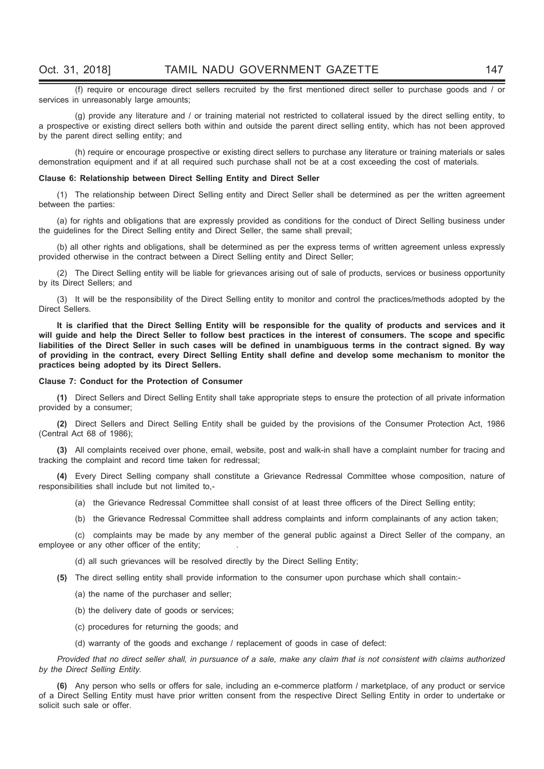(f) require or encourage direct sellers recruited by the first mentioned direct seller to purchase goods and / or services in unreasonably large amounts;

 (g) provide any literature and / or training material not restricted to collateral issued by the direct selling entity, to a prospective or existing direct sellers both within and outside the parent direct selling entity, which has not been approved by the parent direct selling entity; and

 (h) require or encourage prospective or existing direct sellers to purchase any literature or training materials or sales demonstration equipment and if at all required such purchase shall not be at a cost exceeding the cost of materials.

#### Clause 6: Relationship between Direct Selling Entity and Direct Seller

(1) The relationship between Direct Selling entity and Direct Seller shall be determined as per the written agreement between the parties:

(a) for rights and obligations that are expressly provided as conditions for the conduct of Direct Selling business under the guidelines for the Direct Selling entity and Direct Seller, the same shall prevail;

(b) all other rights and obligations, shall be determined as per the express terms of written agreement unless expressly provided otherwise in the contract between a Direct Selling entity and Direct Seller;

(2) The Direct Selling entity will be liable for grievances arising out of sale of products, services or business opportunity by its Direct Sellers; and

(3) It will be the responsibility of the Direct Selling entity to monitor and control the practices/methods adopted by the Direct Sellers.

It is clarified that the Direct Selling Entity will be responsible for the quality of products and services and it will guide and help the Direct Seller to follow best practices in the interest of consumers. The scope and specific liabilities of the Direct Seller in such cases will be defined in unambiguous terms in the contract signed. By way of providing in the contract, every Direct Selling Entity shall define and develop some mechanism to monitor the practices being adopted by its Direct Sellers.

#### Clause 7: Conduct for the Protection of Consumer

(1) Direct Sellers and Direct Selling Entity shall take appropriate steps to ensure the protection of all private information provided by a consumer;

(2) Direct Sellers and Direct Selling Entity shall be guided by the provisions of the Consumer Protection Act, 1986 (Central Act 68 of 1986);

(3) All complaints received over phone, email, website, post and walk-in shall have a complaint number for tracing and tracking the complaint and record time taken for redressal;

(4) Every Direct Selling company shall constitute a Grievance Redressal Committee whose composition, nature of responsibilities shall include but not limited to,-

(a) the Grievance Redressal Committee shall consist of at least three officers of the Direct Selling entity;

(b) the Grievance Redressal Committee shall address complaints and inform complainants of any action taken;

 (c) complaints may be made by any member of the general public against a Direct Seller of the company, an employee or any other officer of the entity;

(d) all such grievances will be resolved directly by the Direct Selling Entity;

(5) The direct selling entity shall provide information to the consumer upon purchase which shall contain:-

- (a) the name of the purchaser and seller;
- (b) the delivery date of goods or services;
- (c) procedures for returning the goods; and
- (d) warranty of the goods and exchange / replacement of goods in case of defect:

Provided that no direct seller shall, in pursuance of a sale, make any claim that is not consistent with claims authorized by the Direct Selling Entity.

(6) Any person who sells or offers for sale, including an e-commerce platform / marketplace, of any product or service of a Direct Selling Entity must have prior written consent from the respective Direct Selling Entity in order to undertake or solicit such sale or offer.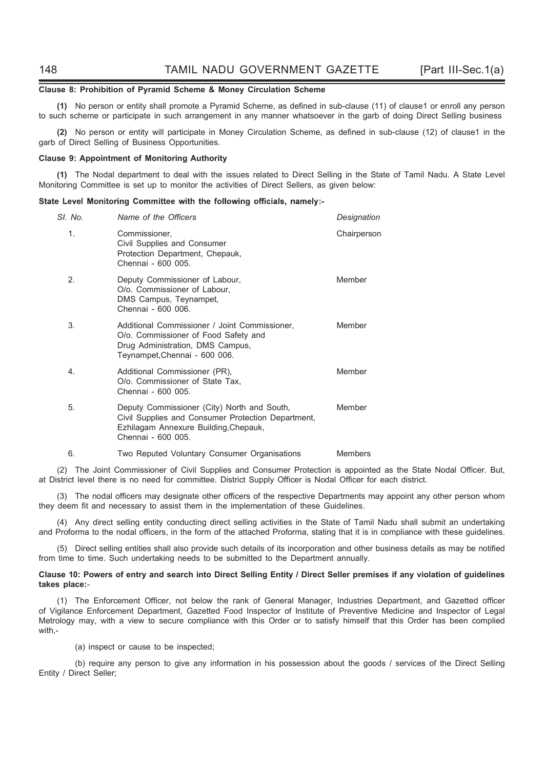#### Clause 8: Prohibition of Pyramid Scheme & Money Circulation Scheme

(1) No person or entity shall promote a Pyramid Scheme, as defined in sub-clause (11) of clause1 or enroll any person to such scheme or participate in such arrangement in any manner whatsoever in the garb of doing Direct Selling business

(2) No person or entity will participate in Money Circulation Scheme, as defined in sub-clause (12) of clause1 in the garb of Direct Selling of Business Opportunities.

#### Clause 9: Appointment of Monitoring Authority

(1) The Nodal department to deal with the issues related to Direct Selling in the State of Tamil Nadu. A State Level Monitoring Committee is set up to monitor the activities of Direct Sellers, as given below:

#### State Level Monitoring Committee with the following officials, namely:-

| SI. No. | Name of the Officers                                                                                                                                             | Designation    |
|---------|------------------------------------------------------------------------------------------------------------------------------------------------------------------|----------------|
| 1.      | Commissioner,<br>Civil Supplies and Consumer<br>Protection Department, Chepauk,<br>Chennai - 600 005.                                                            | Chairperson    |
| 2.      | Deputy Commissioner of Labour,<br>O/o. Commissioner of Labour,<br>DMS Campus, Teynampet,<br>Chennai - 600 006.                                                   | Member         |
| 3.      | Additional Commissioner / Joint Commissioner,<br>O/o. Commissioner of Food Safety and<br>Drug Administration, DMS Campus,<br>Teynampet, Chennai - 600 006.       | Member         |
| 4.      | Additional Commissioner (PR),<br>O/o. Commissioner of State Tax,<br>Chennai - 600 005.                                                                           | Member         |
| 5.      | Deputy Commissioner (City) North and South,<br>Civil Supplies and Consumer Protection Department,<br>Ezhilagam Annexure Building, Chepauk,<br>Chennai - 600 005. | Member         |
| 6.      | Two Reputed Voluntary Consumer Organisations                                                                                                                     | <b>Members</b> |

(2) The Joint Commissioner of Civil Supplies and Consumer Protection is appointed as the State Nodal Officer. But, at District level there is no need for committee. District Supply Officer is Nodal Officer for each district.

(3) The nodal officers may designate other officers of the respective Departments may appoint any other person whom they deem fit and necessary to assist them in the implementation of these Guidelines.

(4) Any direct selling entity conducting direct selling activities in the State of Tamil Nadu shall submit an undertaking and Proforma to the nodal officers, in the form of the attached Proforma, stating that it is in compliance with these guidelines.

(5) Direct selling entities shall also provide such details of its incorporation and other business details as may be notified from time to time. Such undertaking needs to be submitted to the Department annually.

#### Clause 10: Powers of entry and search into Direct Selling Entity / Direct Seller premises if any violation of guidelines takes place:-

(1) The Enforcement Officer, not below the rank of General Manager, Industries Department, and Gazetted officer of Vigilance Enforcement Department, Gazetted Food Inspector of Institute of Preventive Medicine and Inspector of Legal Metrology may, with a view to secure compliance with this Order or to satisfy himself that this Order has been complied with,-

(a) inspect or cause to be inspected;

 (b) require any person to give any information in his possession about the goods / services of the Direct Selling Entity / Direct Seller;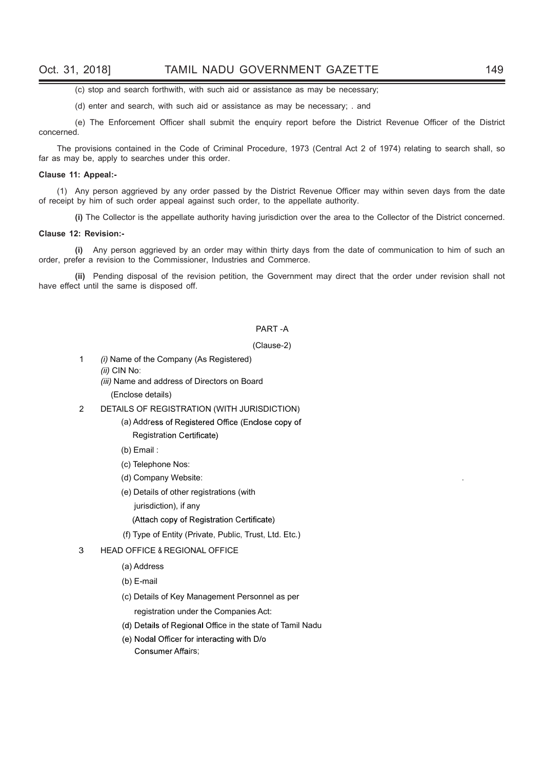(c) stop and search forthwith, with such aid or assistance as may be necessary;

(d) enter and search, with such aid or assistance as may be necessary; . and

 (e) The Enforcement Officer shall submit the enquiry report before the District Revenue Officer of the District concerned.

The provisions contained in the Code of Criminal Procedure, 1973 (Central Act 2 of 1974) relating to search shall, so far as may be, apply to searches under this order.

#### Clause 11: Appeal:-

(1) Any person aggrieved by any order passed by the District Revenue Officer may within seven days from the date of receipt by him of such order appeal against such order, to the appellate authority.

(i) The Collector is the appellate authority having jurisdiction over the area to the Collector of the District concerned.

#### Clause 12: Revision:-

(i) Any person aggrieved by an order may within thirty days from the date of communication to him of such an order, prefer a revision to the Commissioner, Industries and Commerce.

(ii) Pending disposal of the revision petition, the Government may direct that the order under revision shall not have effect until the same is disposed off.

#### PART -A

#### (Clause-2)

- 1 (i) Name of the Company (As Registered) (ii) CIN No:
	- (iii) Name and address of Directors on Board

(Enclose details)

- 2 DETAILS OF REGISTRATION (WITH JURISDICTION)
	- (a) Address of Registered Office (Enclose copy of **Registration Certificate)**
	- (b) Email :
	- (c) Telephone Nos:
	- (d) Company Website:
	- (e) Details of other registrations (with
		- jurisdiction), if any
		- (Attach copy of Registration Certificate)
	- (f) Type of Entity (Private, Public, Trust, Ltd. Etc.)

#### 3 HEAD OFFICE & REGIONAL OFFICE

- (a) Address
- (b) E-mail
- (c) Details of Key Management Personnel as per registration under the Companies Act:
- (d) Details of Regional Office in the state of Tamil Nadu
- (e) Nodal Officer for interacting with D/o Consumer Affairs;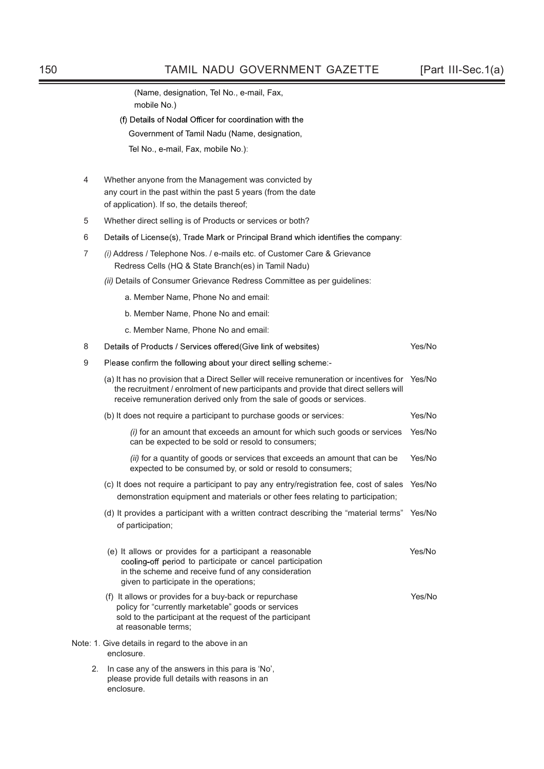(Name, designation, Tel No., e-mail, Fax, mobile No.)

- (f) Details of Nodal Officer for coordination with the
	- Government of Tamil Nadu (Name, designation,
	- Tel No., e-mail, Fax, mobile No.):
- 4 Whether anyone from the Management was convicted by any court in the past within the past 5 years (from the date of application). If so, the details thereof;
- 5 Whether direct selling is of Products or services or both?
- 6 Details of License(s), Trade Mark or Principal Brand which identifies the company:
- 7 (i) Address / Telephone Nos. / e-mails etc. of Customer Care & Grievance Redress Cells (HQ & State Branch(es) in Tamil Nadu)
	- (ii) Details of Consumer Grievance Redress Committee as per guidelines:
		- a. Member Name, Phone No and email:
		- b. Member Name, Phone No and email:
		- c. Member Name, Phone No and email:

enclosure.

| 8  | Details of Products / Services offered (Give link of websites)                                                                                                                                                                                            | Yes/No |
|----|-----------------------------------------------------------------------------------------------------------------------------------------------------------------------------------------------------------------------------------------------------------|--------|
| 9  | Please confirm the following about your direct selling scheme:-                                                                                                                                                                                           |        |
|    | (a) It has no provision that a Direct Seller will receive remuneration or incentives for<br>the recruitment / enrolment of new participants and provide that direct sellers will<br>receive remuneration derived only from the sale of goods or services. | Yes/No |
|    | (b) It does not require a participant to purchase goods or services:                                                                                                                                                                                      | Yes/No |
|    | (i) for an amount that exceeds an amount for which such goods or services<br>can be expected to be sold or resold to consumers;                                                                                                                           | Yes/No |
|    | (ii) for a quantity of goods or services that exceeds an amount that can be<br>expected to be consumed by, or sold or resold to consumers;                                                                                                                | Yes/No |
|    | (c) It does not require a participant to pay any entry/registration fee, cost of sales<br>demonstration equipment and materials or other fees relating to participation;                                                                                  | Yes/No |
|    | (d) It provides a participant with a written contract describing the "material terms"<br>of participation;                                                                                                                                                | Yes/No |
|    | (e) It allows or provides for a participant a reasonable<br>cooling-off period to participate or cancel participation<br>in the scheme and receive fund of any consideration<br>given to participate in the operations;                                   | Yes/No |
|    | (f) It allows or provides for a buy-back or repurchase<br>policy for "currently marketable" goods or services<br>sold to the participant at the request of the participant<br>at reasonable terms;                                                        | Yes/No |
|    | Note: 1. Give details in regard to the above in an<br>enclosure.                                                                                                                                                                                          |        |
| 2. | In case any of the answers in this para is 'No',<br>please provide full details with reasons in an                                                                                                                                                        |        |